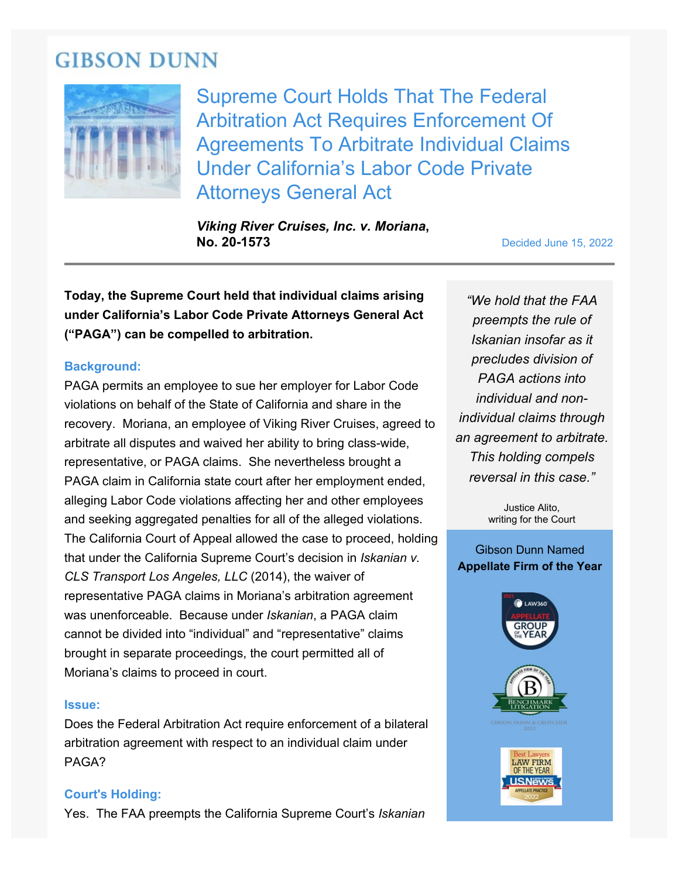# **GIBSON DUNN**



Supreme Court Holds That The Federal Arbitration Act Requires Enforcement Of Agreements To Arbitrate Individual Claims Under California's Labor Code Private Attorneys General Act

*Viking River Cruises, Inc. v. Moriana***, No. 20-1573** Decided June 15, 2022

**Today, the Supreme Court held that individual claims arising under California's Labor Code Private Attorneys General Act ("PAGA") can be compelled to arbitration.**

#### **Background:**

PAGA permits an employee to sue her employer for Labor Code violations on behalf of the State of California and share in the recovery. Moriana, an employee of Viking River Cruises, agreed to arbitrate all disputes and waived her ability to bring class-wide, representative, or PAGA claims. She nevertheless brought a PAGA claim in California state court after her employment ended, alleging Labor Code violations affecting her and other employees and seeking aggregated penalties for all of the alleged violations. The California Court of Appeal allowed the case to proceed, holding that under the California Supreme Court's decision in *Iskanian v. CLS Transport Los Angeles, LLC* (2014), the waiver of representative PAGA claims in Moriana's arbitration agreement was unenforceable. Because under *Iskanian*, a PAGA claim cannot be divided into "individual" and "representative" claims brought in separate proceedings, the court permitted all of Moriana's claims to proceed in court.

#### **Issue:**

Does the Federal Arbitration Act require enforcement of a bilateral arbitration agreement with respect to an individual claim under PAGA?

#### **Court's Holding:**

Yes. The FAA preempts the California Supreme Court's *Iskanian*

*"We hold that the FAA preempts the rule of Iskanian insofar as it precludes division of PAGA actions into individual and nonindividual claims through an agreement to arbitrate. This holding compels reversal in this case."*

> Justice Alito, writing for the Court

#### Gibson Dunn Named **Appellate Firm of the Year**

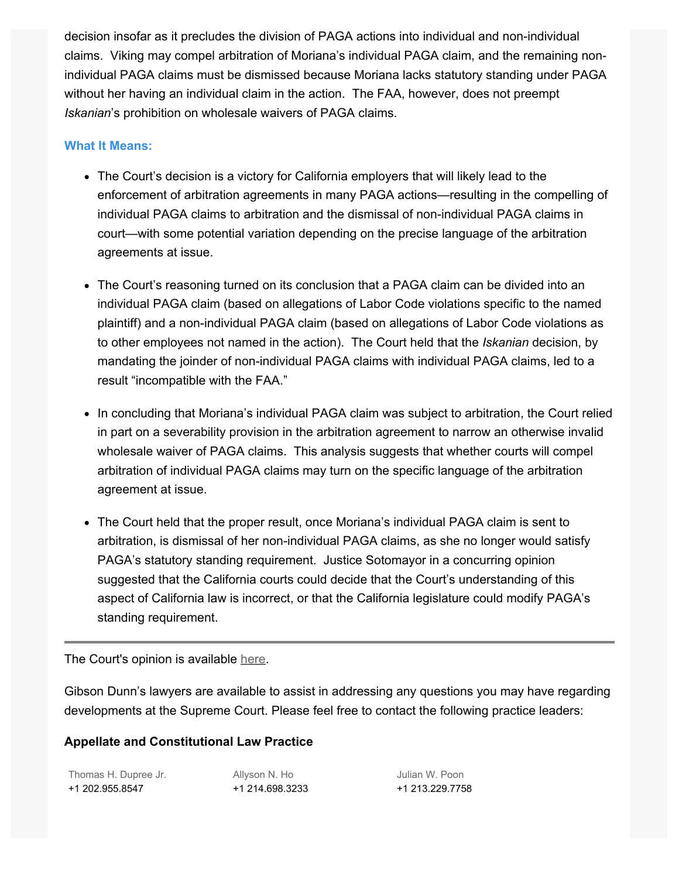decision insofar as it precludes the division of PAGA actions into individual and non-individual claims. Viking may compel arbitration of Moriana's individual PAGA claim, and the remaining nonindividual PAGA claims must be dismissed because Moriana lacks statutory standing under PAGA without her having an individual claim in the action. The FAA, however, does not preempt *Iskanian*'s prohibition on wholesale waivers of PAGA claims.

### **What It Means:**

- The Court's decision is a victory for California employers that will likely lead to the enforcement of arbitration agreements in many PAGA actions—resulting in the compelling of individual PAGA claims to arbitration and the dismissal of non-individual PAGA claims in court—with some potential variation depending on the precise language of the arbitration agreements at issue.
- The Court's reasoning turned on its conclusion that a PAGA claim can be divided into an individual PAGA claim (based on allegations of Labor Code violations specific to the named plaintiff) and a non-individual PAGA claim (based on allegations of Labor Code violations as to other employees not named in the action). The Court held that the *Iskanian* decision, by mandating the joinder of non-individual PAGA claims with individual PAGA claims, led to a result "incompatible with the FAA."
- In concluding that Moriana's individual PAGA claim was subject to arbitration, the Court relied in part on a severability provision in the arbitration agreement to narrow an otherwise invalid wholesale waiver of PAGA claims. This analysis suggests that whether courts will compel arbitration of individual PAGA claims may turn on the specific language of the arbitration agreement at issue.
- The Court held that the proper result, once Moriana's individual PAGA claim is sent to arbitration, is dismissal of her non-individual PAGA claims, as she no longer would satisfy PAGA's statutory standing requirement. Justice Sotomayor in a concurring opinion suggested that the California courts could decide that the Court's understanding of this aspect of California law is incorrect, or that the California legislature could modify PAGA's standing requirement.

The Court's opinion is available [here.](https://www.gibsondunn.com/wp-content/uploads/2022/06/20-1573-Viking-River-Cruises-Inc.-v.-Moriana-06_15_2022.pdf)

Gibson Dunn's lawyers are available to assist in addressing any questions you may have regarding developments at the Supreme Court. Please feel free to contact the following practice leaders:

## **Appellate and Constitutional Law Practice**

| Thomas H. Dupree Jr. | Allyson N. Ho   | Julian W. Poon  |
|----------------------|-----------------|-----------------|
| +1 202.955.8547      | +1 214.698.3233 | +1 213.229.7758 |